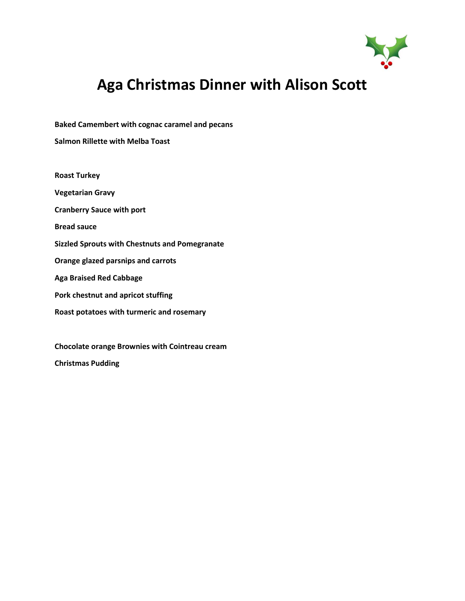

# **Aga Christmas Dinner with Alison Scott**

**Baked Camembert with cognac caramel and pecans**

**Salmon Rillette with Melba Toast**

**Roast Turkey**

**Vegetarian Gravy**

**Cranberry Sauce with port**

**Bread sauce**

**Sizzled Sprouts with Chestnuts and Pomegranate**

**Orange glazed parsnips and carrots**

**Aga Braised Red Cabbage**

**Pork chestnut and apricot stuffing**

**Roast potatoes with turmeric and rosemary**

**Chocolate orange Brownies with Cointreau cream Christmas Pudding**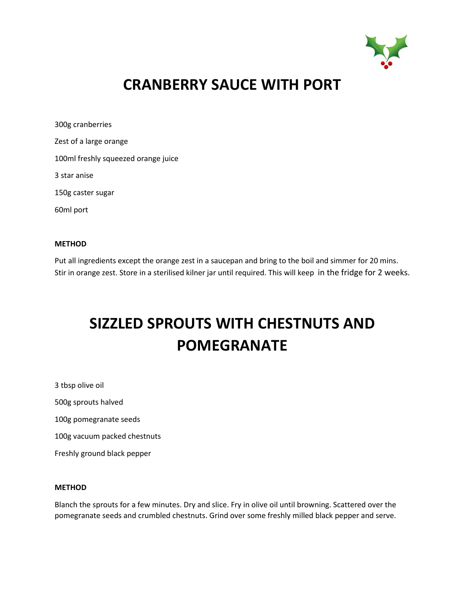

# **CRANBERRY SAUCE WITH PORT**

300g cranberries Zest of a large orange 100ml freshly squeezed orange juice 3 star anise 150g caster sugar 60ml port

#### **METHOD**

Put all ingredients except the orange zest in a saucepan and bring to the boil and simmer for 20 mins. Stir in orange zest. Store in a sterilised kilner jar until required. This will keep in the fridge for 2 weeks.

# **SIZZLED SPROUTS WITH CHESTNUTS AND POMEGRANATE**

3 tbsp olive oil 500g sprouts halved 100g pomegranate seeds 100g vacuum packed chestnuts Freshly ground black pepper

#### **METHOD**

Blanch the sprouts for a few minutes. Dry and slice. Fry in olive oil until browning. Scattered over the pomegranate seeds and crumbled chestnuts. Grind over some freshly milled black pepper and serve.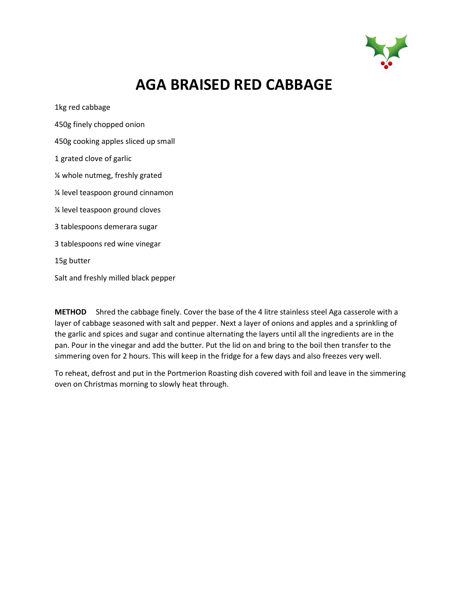

# **AGA BRAISED RED CABBAGE**

1kg red cabbage

450g finely chopped onion

450g cooking apples sliced up small

1 grated clove of garlic

¼ whole nutmeg, freshly grated

¼ level teaspoon ground cinnamon

¼ level teaspoon ground cloves

3 tablespoons demerara sugar

3 tablespoons red wine vinegar

15g butter

Salt and freshly milled black pepper

**METHOD** Shred the cabbage finely. Cover the base of the 4 litre stainless steel Aga casserole with a layer of cabbage seasoned with salt and pepper. Next a layer of onions and apples and a sprinkling of the garlic and spices and sugar and continue alternating the layers until all the ingredients are in the pan. Pour in the vinegar and add the butter. Put the lid on and bring to the boil then transfer to the simmering oven for 2 hours. This will keep in the fridge for a few days and also freezes very well.

To reheat, defrost and put in the Portmerion Roasting dish covered with foil and leave in the simmering oven on Christmas morning to slowly heat through.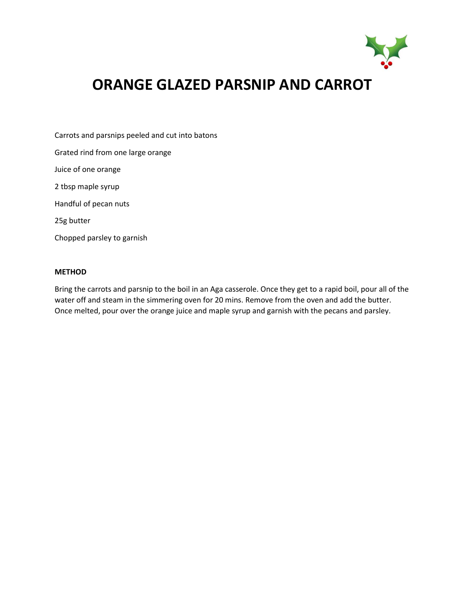

# **ORANGE GLAZED PARSNIP AND CARROT**

Carrots and parsnips peeled and cut into batons

Grated rind from one large orange

Juice of one orange

2 tbsp maple syrup

Handful of pecan nuts

25g butter

Chopped parsley to garnish

### **METHOD**

Bring the carrots and parsnip to the boil in an Aga casserole. Once they get to a rapid boil, pour all of the water off and steam in the simmering oven for 20 mins. Remove from the oven and add the butter. Once melted, pour over the orange juice and maple syrup and garnish with the pecans and parsley.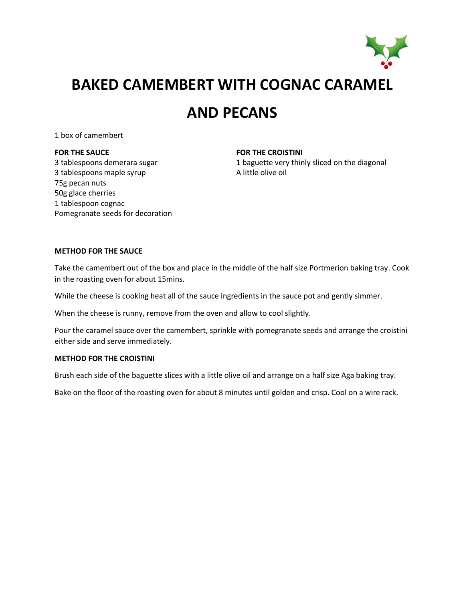

## **BAKED CAMEMBERT WITH COGNAC CARAMEL**

### **AND PECANS**

1 box of camembert

#### **FOR THE SAUCE**

3 tablespoons demerara sugar 3 tablespoons maple syrup 75g pecan nuts 50g glace cherries 1 tablespoon cognac Pomegranate seeds for decoration **FOR THE CROISTINI**

1 baguette very thinly sliced on the diagonal A little olive oil

### **METHOD FOR THE SAUCE**

Take the camembert out of the box and place in the middle of the half size Portmerion baking tray. Cook in the roasting oven for about 15mins.

While the cheese is cooking heat all of the sauce ingredients in the sauce pot and gently simmer.

When the cheese is runny, remove from the oven and allow to cool slightly.

Pour the caramel sauce over the camembert, sprinkle with pomegranate seeds and arrange the croistini either side and serve immediately.

#### **METHOD FOR THE CROISTINI**

Brush each side of the baguette slices with a little olive oil and arrange on a half size Aga baking tray.

Bake on the floor of the roasting oven for about 8 minutes until golden and crisp. Cool on a wire rack.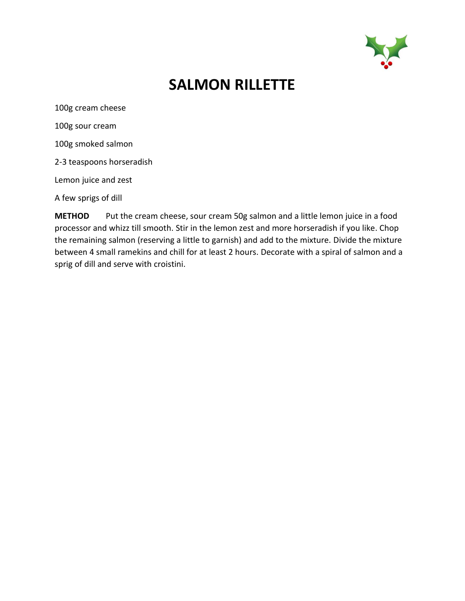

# **SALMON RILLETTE**

100g cream cheese 100g sour cream

100g smoked salmon

2-3 teaspoons horseradish

Lemon juice and zest

A few sprigs of dill

**METHOD** Put the cream cheese, sour cream 50g salmon and a little lemon juice in a food processor and whizz till smooth. Stir in the lemon zest and more horseradish if you like. Chop the remaining salmon (reserving a little to garnish) and add to the mixture. Divide the mixture between 4 small ramekins and chill for at least 2 hours. Decorate with a spiral of salmon and a sprig of dill and serve with croistini.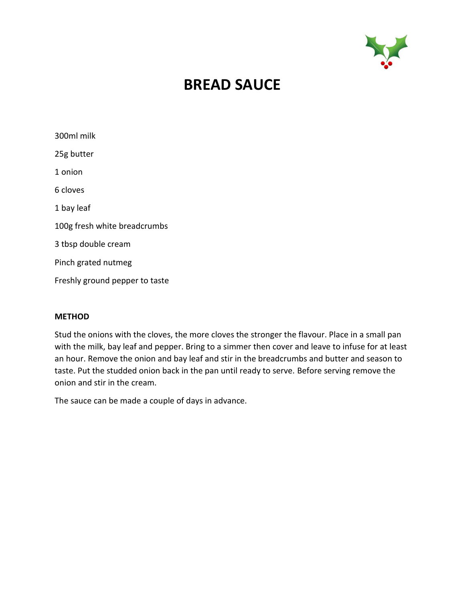

## **BREAD SAUCE**

| 300ml milk                     |
|--------------------------------|
| 25g butter                     |
| 1 onion                        |
| 6 cloves                       |
| 1 bay leaf                     |
| 100g fresh white breadcrumbs   |
| 3 tbsp double cream            |
| Pinch grated nutmeg            |
| Freshly ground pepper to taste |

### **METHOD**

Stud the onions with the cloves, the more cloves the stronger the flavour. Place in a small pan with the milk, bay leaf and pepper. Bring to a simmer then cover and leave to infuse for at least an hour. Remove the onion and bay leaf and stir in the breadcrumbs and butter and season to taste. Put the studded onion back in the pan until ready to serve. Before serving remove the onion and stir in the cream.

The sauce can be made a couple of days in advance.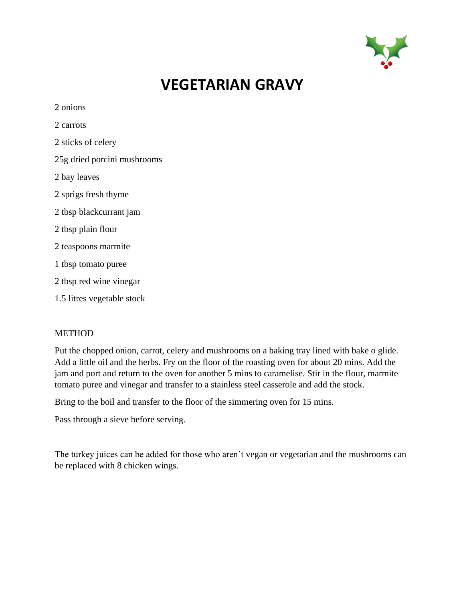

## **VEGETARIAN GRAVY**

| 2 onions                    |
|-----------------------------|
| 2 carrots                   |
| 2 sticks of celery          |
| 25g dried porcini mushrooms |
| 2 bay leaves                |
| 2 sprigs fresh thyme        |
| 2 tbsp blackcurrant jam     |
| 2 tbsp plain flour          |
| 2 teaspoons marmite         |
| 1 tbsp tomato puree         |
| 2 tbsp red wine vinegar     |
| 1.5 litres vegetable stock  |
|                             |

### METHOD

Put the chopped onion, carrot, celery and mushrooms on a baking tray lined with bake o glide. Add a little oil and the herbs. Fry on the floor of the roasting oven for about 20 mins. Add the jam and port and return to the oven for another 5 mins to caramelise. Stir in the flour, marmite tomato puree and vinegar and transfer to a stainless steel casserole and add the stock.

Bring to the boil and transfer to the floor of the simmering oven for 15 mins.

Pass through a sieve before serving.

The turkey juices can be added for those who aren't vegan or vegetarian and the mushrooms can be replaced with 8 chicken wings.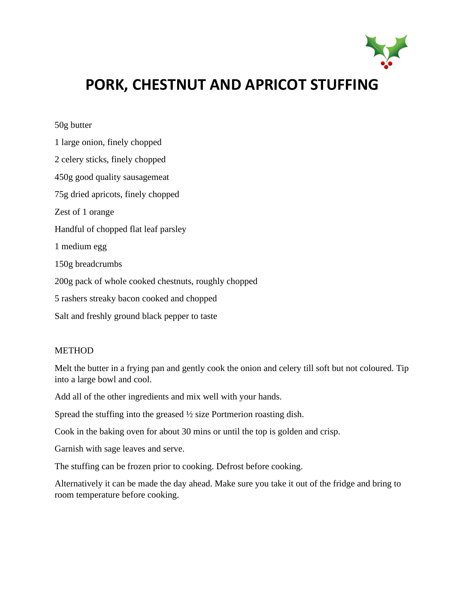

# **PORK, CHESTNUT AND APRICOT STUFFING**

### 50g butter

1 large onion, finely chopped 2 celery sticks, finely chopped 450g good quality sausagemeat 75g dried apricots, finely chopped Zest of 1 orange Handful of chopped flat leaf parsley 1 medium egg 150g breadcrumbs 200g pack of whole cooked chestnuts, roughly chopped 5 rashers streaky bacon cooked and chopped Salt and freshly ground black pepper to taste

### METHOD

Melt the butter in a frying pan and gently cook the onion and celery till soft but not coloured. Tip into a large bowl and cool.

Add all of the other ingredients and mix well with your hands.

Spread the stuffing into the greased ½ size Portmerion roasting dish.

Cook in the baking oven for about 30 mins or until the top is golden and crisp.

Garnish with sage leaves and serve.

The stuffing can be frozen prior to cooking. Defrost before cooking.

Alternatively it can be made the day ahead. Make sure you take it out of the fridge and bring to room temperature before cooking.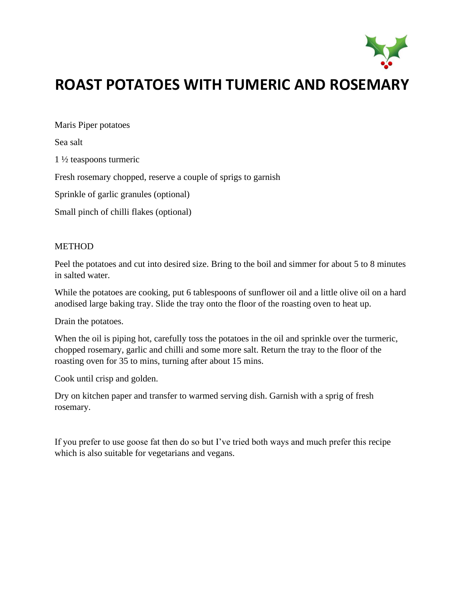

# **ROAST POTATOES WITH TUMERIC AND ROSEMARY**

Maris Piper potatoes

Sea salt

1 ½ teaspoons turmeric

Fresh rosemary chopped, reserve a couple of sprigs to garnish

Sprinkle of garlic granules (optional)

Small pinch of chilli flakes (optional)

### **METHOD**

Peel the potatoes and cut into desired size. Bring to the boil and simmer for about 5 to 8 minutes in salted water.

While the potatoes are cooking, put 6 tablespoons of sunflower oil and a little olive oil on a hard anodised large baking tray. Slide the tray onto the floor of the roasting oven to heat up.

Drain the potatoes.

When the oil is piping hot, carefully toss the potatoes in the oil and sprinkle over the turmeric, chopped rosemary, garlic and chilli and some more salt. Return the tray to the floor of the roasting oven for 35 to mins, turning after about 15 mins.

Cook until crisp and golden.

Dry on kitchen paper and transfer to warmed serving dish. Garnish with a sprig of fresh rosemary.

If you prefer to use goose fat then do so but I've tried both ways and much prefer this recipe which is also suitable for vegetarians and vegans.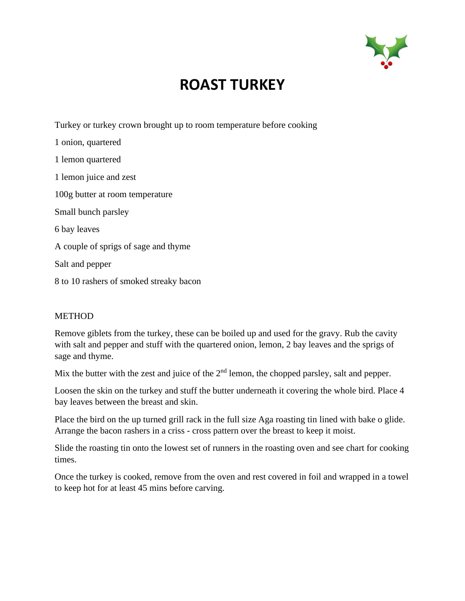

# **ROAST TURKEY**

Turkey or turkey crown brought up to room temperature before cooking

1 onion, quartered 1 lemon quartered 1 lemon juice and zest 100g butter at room temperature Small bunch parsley 6 bay leaves A couple of sprigs of sage and thyme Salt and pepper 8 to 10 rashers of smoked streaky bacon

### METHOD

Remove giblets from the turkey, these can be boiled up and used for the gravy. Rub the cavity with salt and pepper and stuff with the quartered onion, lemon, 2 bay leaves and the sprigs of sage and thyme.

Mix the butter with the zest and juice of the  $2<sup>nd</sup>$  lemon, the chopped parsley, salt and pepper.

Loosen the skin on the turkey and stuff the butter underneath it covering the whole bird. Place 4 bay leaves between the breast and skin.

Place the bird on the up turned grill rack in the full size Aga roasting tin lined with bake o glide. Arrange the bacon rashers in a criss - cross pattern over the breast to keep it moist.

Slide the roasting tin onto the lowest set of runners in the roasting oven and see chart for cooking times.

Once the turkey is cooked, remove from the oven and rest covered in foil and wrapped in a towel to keep hot for at least 45 mins before carving.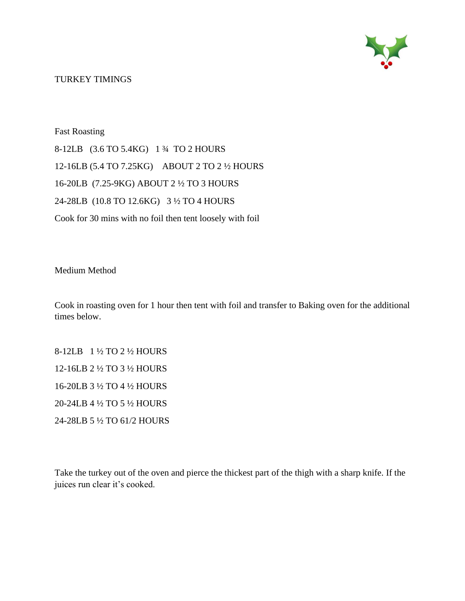

TURKEY TIMINGS

Fast Roasting 8-12LB (3.6 TO 5.4KG) 1 ¾ TO 2 HOURS 12-16LB (5.4 TO 7.25KG) ABOUT 2 TO 2 ½ HOURS 16-20LB (7.25-9KG) ABOUT 2 ½ TO 3 HOURS 24-28LB (10.8 TO 12.6KG) 3 ½ TO 4 HOURS Cook for 30 mins with no foil then tent loosely with foil

Medium Method

Cook in roasting oven for 1 hour then tent with foil and transfer to Baking oven for the additional times below.

8-12LB 1 ½ TO 2 ½ HOURS 12-16LB 2 ½ TO 3 ½ HOURS 16-20LB 3 ½ TO 4 ½ HOURS 20-24LB 4 ½ TO 5 ½ HOURS 24-28LB 5 ½ TO 61/2 HOURS

Take the turkey out of the oven and pierce the thickest part of the thigh with a sharp knife. If the juices run clear it's cooked.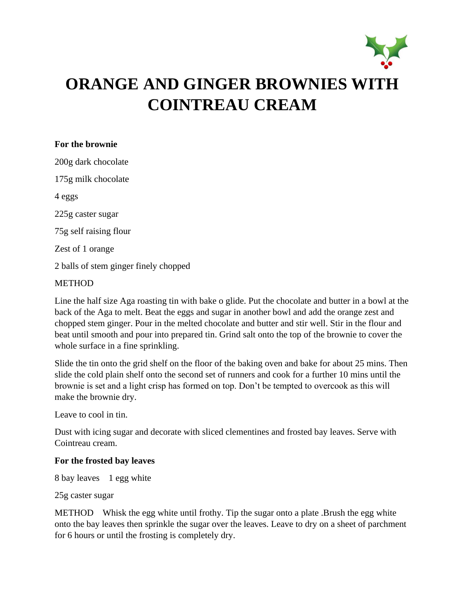

### **For the brownie**

200g dark chocolate 175g milk chocolate 4 eggs 225g caster sugar 75g self raising flour Zest of 1 orange 2 balls of stem ginger finely chopped

### **METHOD**

Line the half size Aga roasting tin with bake o glide. Put the chocolate and butter in a bowl at the back of the Aga to melt. Beat the eggs and sugar in another bowl and add the orange zest and chopped stem ginger. Pour in the melted chocolate and butter and stir well. Stir in the flour and beat until smooth and pour into prepared tin. Grind salt onto the top of the brownie to cover the whole surface in a fine sprinkling.

Slide the tin onto the grid shelf on the floor of the baking oven and bake for about 25 mins. Then slide the cold plain shelf onto the second set of runners and cook for a further 10 mins until the brownie is set and a light crisp has formed on top. Don't be tempted to overcook as this will make the brownie dry.

Leave to cool in tin.

Dust with icing sugar and decorate with sliced clementines and frosted bay leaves. Serve with Cointreau cream.

### **For the frosted bay leaves**

8 bay leaves 1 egg white

25g caster sugar

METHOD Whisk the egg white until frothy. Tip the sugar onto a plate .Brush the egg white onto the bay leaves then sprinkle the sugar over the leaves. Leave to dry on a sheet of parchment for 6 hours or until the frosting is completely dry.